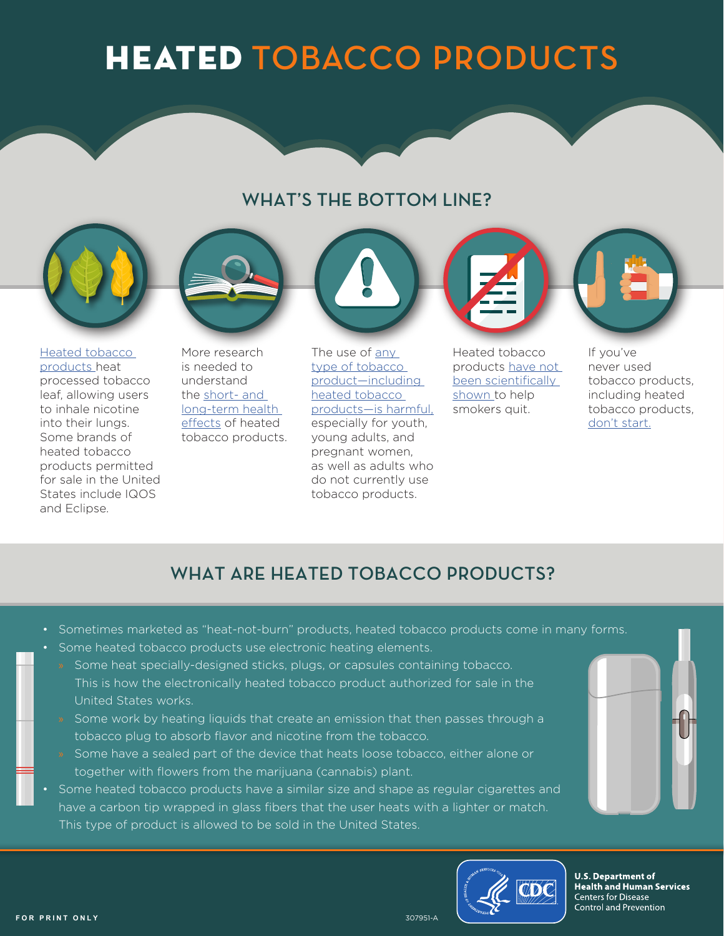# HEATED **TOBACCO PRODUCTS**

#### **WHAT'S THE BOTTOM LINE?**







More research is needed to understand the short- [and](https://wwwdev.cdc.gov/tobacco/basic_information/heated-tobacco-products/index.html#health-effects)  [long-term health](https://wwwdev.cdc.gov/tobacco/basic_information/heated-tobacco-products/index.html#health-effects)  [effects](https://wwwdev.cdc.gov/tobacco/basic_information/heated-tobacco-products/index.html#health-effects) of heated tobacco products.



[products—is harmful,](https://wwwdev.cdc.gov/tobacco/basic_information/heated-tobacco-products/index.html#health-effects) especially for youth, young adults, and pregnant women, as well as adults who do not currently use tobacco products.

Heated tobacco products [have not](https://wwwdev.cdc.gov/tobacco/basic_information/heated-tobacco-products/index.html#not-less-harmful)  [been scientifically](https://wwwdev.cdc.gov/tobacco/basic_information/heated-tobacco-products/index.html#not-less-harmful)  [shown](https://wwwdev.cdc.gov/tobacco/basic_information/heated-tobacco-products/index.html#not-less-harmful) to help smokers quit.

If you've never used tobacco products, including heated tobacco products, [don't start.](https://wwwdev.cdc.gov/tobacco/basic_information/heated-tobacco-products/index.html#health-effects)

## **WHAT ARE HEATED TOBACCO PRODUCTS?**

- Sometimes marketed as "heat-not-burn" products, heated tobacco products come in many forms.
- Some heated tobacco products use electronic heating elements.
	- » Some heat specially-designed sticks, plugs, or capsules containing tobacco. This is how the electronically heated tobacco product authorized for sale in the United States works.
- » Some work by heating liquids that create an emission that then passes through a tobacco plug to absorb flavor and nicotine from the tobacco.
- » Some have a sealed part of the device that heats loose tobacco, either alone or together with flowers from the marijuana (cannabis) plant.
- Some heated tobacco products have a similar size and shape as regular cigarettes and have a carbon tip wrapped in glass fibers that the user heats with a lighter or match. This type of product is allowed to be sold in the United States.





**U.S. Department of Health and Human Services Centers for Disease Control and Prevention**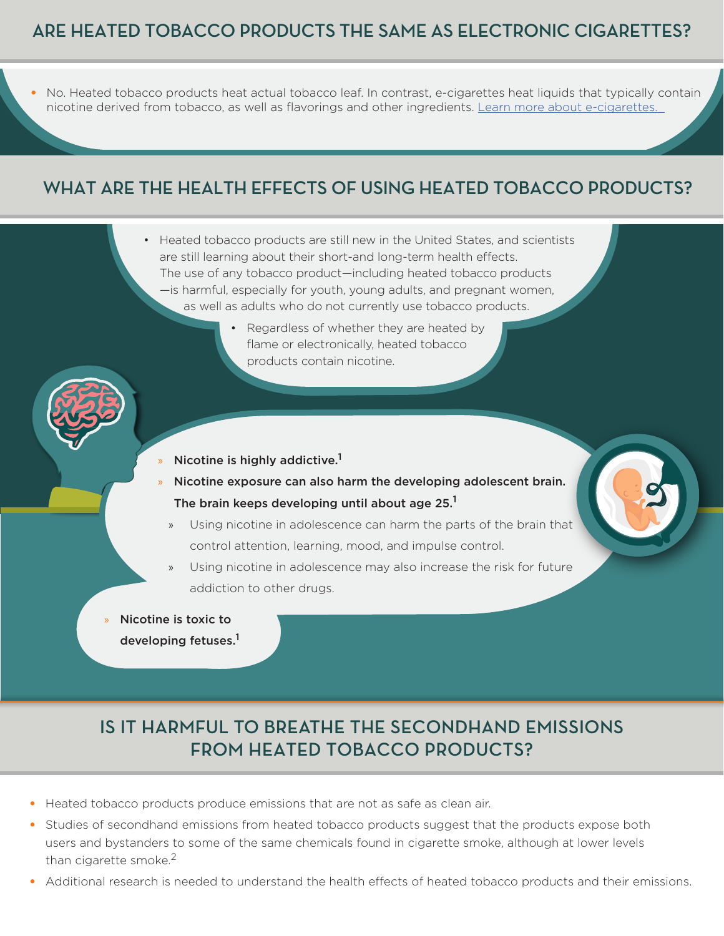#### **ARE HEATED TOBACCO PRODUCTS THE SAME AS ELECTRONIC CIGARETTES?**

• No. Heated tobacco products heat actual tobacco leaf. In contrast, e-cigarettes heat liquids that typically contain nicotine derived from tobacco, as well as flavorings and other ingredients. Learn more about [e-cigarettes](https://wwwdev.cdc.gov/tobacco/basic_information/e-cigarettes/index.htm).

#### **WHAT ARE THE HEALTH EFFECTS OF USING HEATED TOBACCO PRODUCTS?**

- Heated tobacco products are still new in the United States, and scientists are still learning about their short-and long-term health effects. The use of any tobacco product—including heated tobacco products —is harmful, especially for youth, young adults, and pregnant women, as well as adults who do not currently use tobacco products.
	- Regardless of whether they are heated by flame or electronically, heated tobacco products contain nicotine.



- Nicotine is highly addictive.<sup>1</sup>
- » Nicotine exposure can also harm the developing adolescent brain. The brain keeps developing until about age  $25<sup>1</sup>$ 
	- » Using nicotine in adolescence can harm the parts of the brain that control attention, learning, mood, and impulse control.
	- » Using nicotine in adolescence may also increase the risk for future addiction to other drugs.
- » Nicotine is toxic to
	- developing fetuses.<sup>1</sup>

#### **IS IT HARMFUL TO BREATHE THE SECONDHAND EMISSIONS FROM HEATED TOBACCO PRODUCTS?**

- Heated tobacco products produce emissions that are not as safe as clean air.
- Studies of secondhand emissions from heated tobacco products suggest that the products expose both users and bystanders to some of the same chemicals found in cigarette smoke, although at lower levels than cigarette smoke. $2$
- Additional research is needed to understand the health effects of heated tobacco products and their emissions.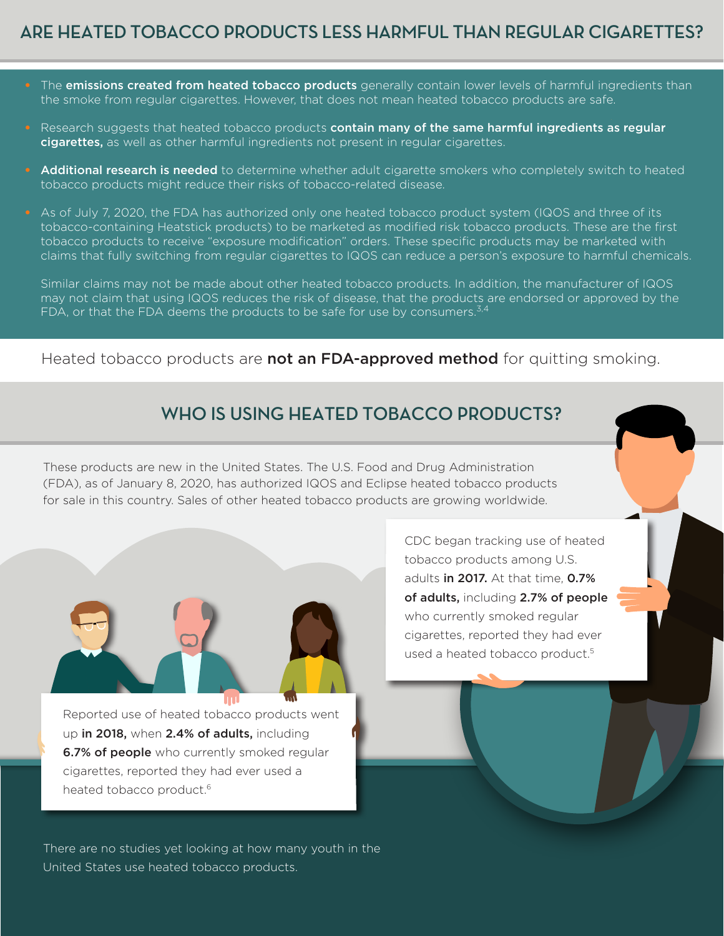#### **ARE HEATED TOBACCO PRODUCTS LESS HARMFUL THAN REGULAR CIGARETTES?**

- The emissions created from heated tobacco products generally contain lower levels of harmful ingredients than the smoke from regular cigarettes. However, that does not mean heated tobacco products are safe.
- Research suggests that heated tobacco products **contain many of the same harmful ingredients as regular** cigarettes, as well as other harmful ingredients not present in regular cigarettes.
- Additional research is needed to determine whether adult cigarette smokers who completely switch to heated tobacco products might reduce their risks of tobacco-related disease.
- As of July 7, 2020, the FDA has authorized only one heated tobacco product system (IQOS and three of its tobacco-containing Heatstick products) to be marketed as modified risk tobacco products. These are the first tobacco products to receive "exposure modification" orders. These specific products may be marketed with claims that fully switching from regular cigarettes to IQOS can reduce a person's exposure to harmful chemicals.

Similar claims may not be made about other heated tobacco products. In addition, the manufacturer of IQOS may not claim that using IQOS reduces the risk of disease, that the products are endorsed or approved by the FDA, or that the FDA deems the products to be safe for use by consumers. $3.4$ 

Heated tobacco products are **not an FDA-approved method** for quitting smoking.

#### **WHO IS USING HEATED TOBACCO PRODUCTS?**

These products are new in the United States. The U.S. Food and Drug Administration (FDA), as of January 8, 2020, has authorized IQOS and Eclipse heated tobacco products for sale in this country. Sales of other heated tobacco products are growing worldwide.



Reported use of heated tobacco products went up in 2018, when 2.4% of adults, including **6.7% of people** who currently smoked regular cigarettes, reported they had ever used a heated tobacco product.<sup>6</sup>

There are no studies yet looking at how many youth in the United States use heated tobacco products.

CDC began tracking use of heated tobacco products among U.S. adults in 2017. At that time, 0.7% of adults, including 2.7% of people who currently smoked regular cigarettes, reported they had ever used a heated tobacco product.<sup>5</sup>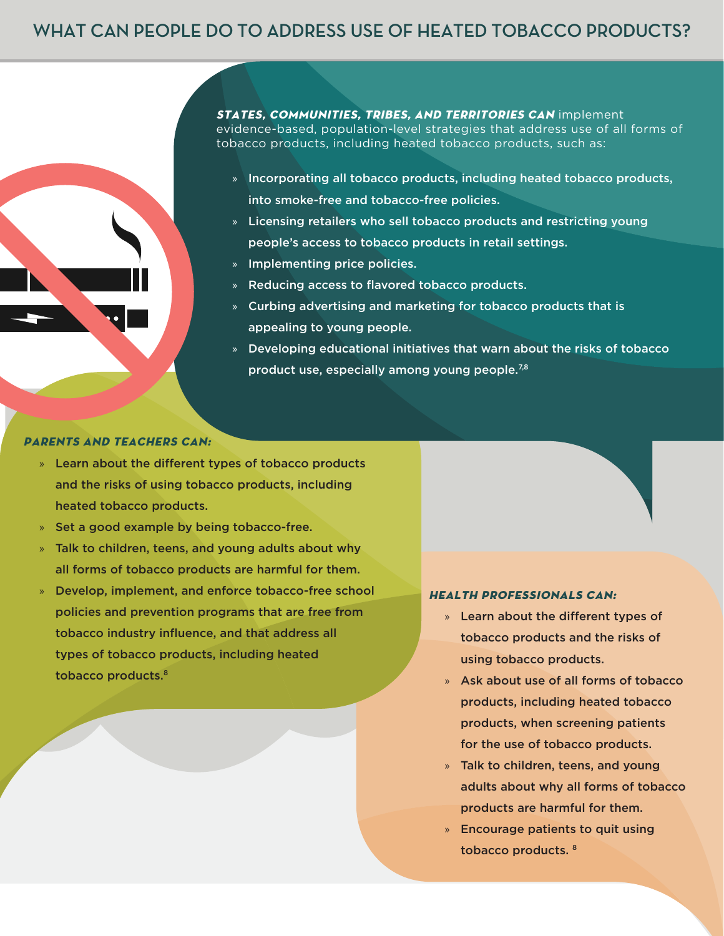#### **WHAT CAN PEOPLE DO TO ADDRESS USE OF HEATED TOBACCO PRODUCTS?**

STATES, COMMUNITIES, TRIBES, AND TERRITORIES CAN implement evidence-based, population-level strategies that address use of all forms of tobacco products, including heated tobacco products, such as:

- » Incorporating all tobacco products, including heated tobacco products, into smoke-free and tobacco-free policies.
- » Licensing retailers who sell tobacco products and restricting young people's access to tobacco products in retail settings.
- » Implementing price policies.
- » Reducing access to flavored tobacco products.
- » Curbing advertising and marketing for tobacco products that is appealing to young people.
- » Developing educational initiatives that warn about the risks of tobacco product use, especially among young people.<sup>7,8</sup>

#### PARENTS AND TEACHERS CAN:

- » Learn about the different types of tobacco products and the risks of using tobacco products, including heated tobacco products.
- » Set a good example by being tobacco-free.
- » Talk to children, teens, and young adults about why all forms of tobacco products are harmful for them.
- » Develop, implement, and enforce tobacco-free school policies and prevention programs that are free from tobacco industry influence, and that address all types of tobacco products, including heated tobacco products.<sup>8</sup>

- HEALTH PROFESSIONALS CAN:
	- » Learn about the different types of tobacco products and the risks of using tobacco products.
	- » Ask about use of all forms of tobacco products, including heated tobacco products, when screening patients for the use of tobacco products.
	- » Talk to children, teens, and young adults about why all forms of tobacco products are harmful for them.
	- » Encourage patients to quit using tobacco products. 8